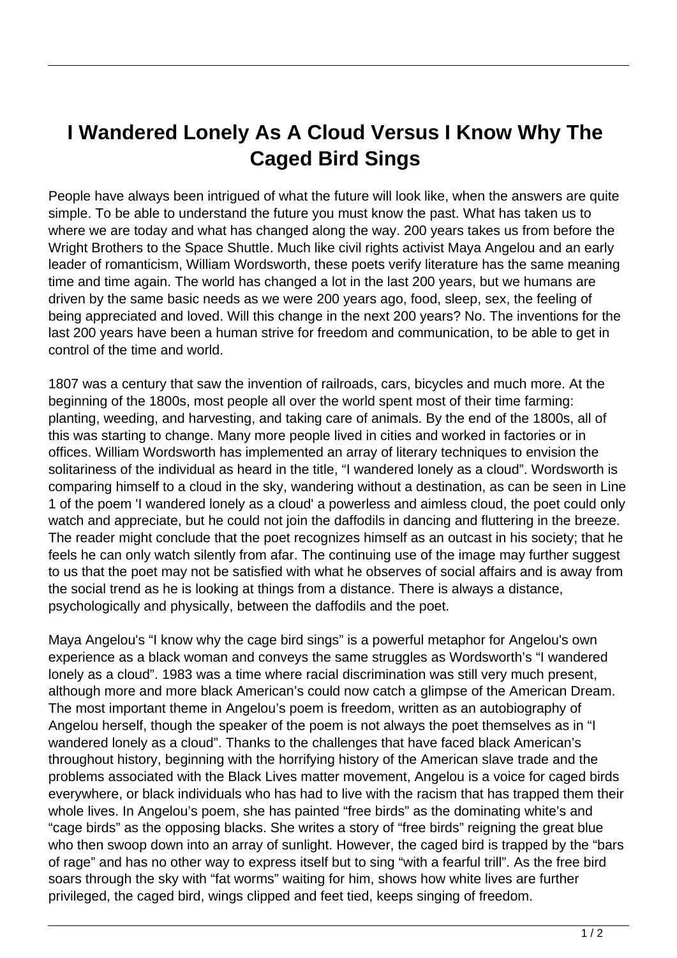## **I Wandered Lonely As A Cloud Versus I Know Why The Caged Bird Sings**

People have always been intrigued of what the future will look like, when the answers are quite simple. To be able to understand the future you must know the past. What has taken us to where we are today and what has changed along the way. 200 years takes us from before the Wright Brothers to the Space Shuttle. Much like civil rights activist Maya Angelou and an early leader of romanticism, William Wordsworth, these poets verify literature has the same meaning time and time again. The world has changed a lot in the last 200 years, but we humans are driven by the same basic needs as we were 200 years ago, food, sleep, sex, the feeling of being appreciated and loved. Will this change in the next 200 years? No. The inventions for the last 200 years have been a human strive for freedom and communication, to be able to get in control of the time and world.

1807 was a century that saw the invention of railroads, cars, bicycles and much more. At the beginning of the 1800s, most people all over the world spent most of their time farming: planting, weeding, and harvesting, and taking care of animals. By the end of the 1800s, all of this was starting to change. Many more people lived in cities and worked in factories or in offices. William Wordsworth has implemented an array of literary techniques to envision the solitariness of the individual as heard in the title, "I wandered lonely as a cloud". Wordsworth is comparing himself to a cloud in the sky, wandering without a destination, as can be seen in Line 1 of the poem 'I wandered lonely as a cloud' a powerless and aimless cloud, the poet could only watch and appreciate, but he could not join the daffodils in dancing and fluttering in the breeze. The reader might conclude that the poet recognizes himself as an outcast in his society; that he feels he can only watch silently from afar. The continuing use of the image may further suggest to us that the poet may not be satisfied with what he observes of social affairs and is away from the social trend as he is looking at things from a distance. There is always a distance, psychologically and physically, between the daffodils and the poet.

Maya Angelou's "I know why the cage bird sings" is a powerful metaphor for Angelou's own experience as a black woman and conveys the same struggles as Wordsworth's "I wandered lonely as a cloud". 1983 was a time where racial discrimination was still very much present, although more and more black American's could now catch a glimpse of the American Dream. The most important theme in Angelou's poem is freedom, written as an autobiography of Angelou herself, though the speaker of the poem is not always the poet themselves as in "I wandered lonely as a cloud". Thanks to the challenges that have faced black American's throughout history, beginning with the horrifying history of the American slave trade and the problems associated with the Black Lives matter movement, Angelou is a voice for caged birds everywhere, or black individuals who has had to live with the racism that has trapped them their whole lives. In Angelou's poem, she has painted "free birds" as the dominating white's and "cage birds" as the opposing blacks. She writes a story of "free birds" reigning the great blue who then swoop down into an array of sunlight. However, the caged bird is trapped by the "bars of rage" and has no other way to express itself but to sing "with a fearful trill". As the free bird soars through the sky with "fat worms" waiting for him, shows how white lives are further privileged, the caged bird, wings clipped and feet tied, keeps singing of freedom.